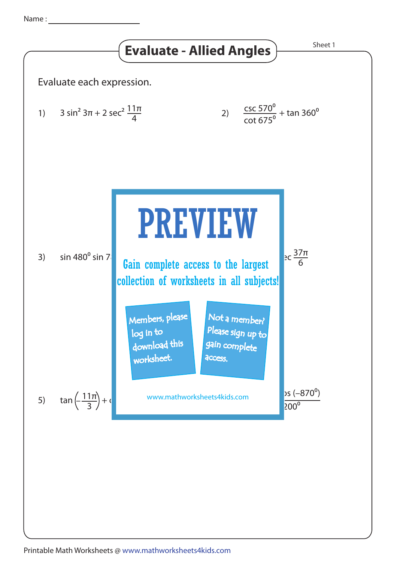